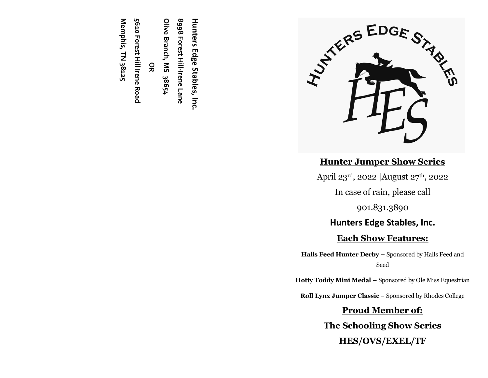

# **Hunter Jumper Show Series**

April 23rd, 2022 | August 27th, 2022

In case of rain, please call

901.831.3890

# **Hunters Edge Stables, Inc.**

# **Each Show Features:**

**Halls Feed Hunter Derby –** Sponsored by Halls Feed and Seed

**Hotty Toddy Mini Medal –** Sponsored by Ole Miss Equestrian

**Roll Lynx Jumper Classic** – Sponsored by Rhodes College

# **Proud Member of: The Schooling Show Series HES/OVS/EXEL/TF**

**Hunters Edge Stables, Inc. 8998 Forest Hill-Irene** 8<sub>99</sub>8 Forest Hill-Irene Lane **Olive Branch, MS 38654**

**OR**

5610 Forest Hill Irene Road **5610 Forest Hill Irene Road**

Memphis, TN 38125 **Memphis, TN 38125**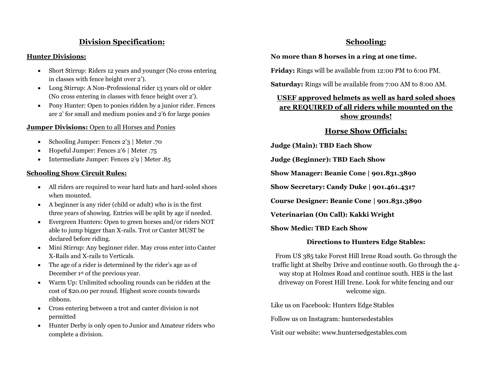# **Division Specification:**

#### **Hunter Divisions:**

- Short Stirrup: Riders 12 years and younger (No cross entering in classes with fence height over 2').
- Long Stirrup: A Non-Professional rider 13 years old or older (No cross entering in classes with fence height over 2').
- Pony Hunter: Open to ponies ridden by a junior rider. Fences are 2' for small and medium ponies and 2'6 for large ponies

#### **Jumper Divisions:** Open to all Horses and Ponies

- Schooling Jumper: Fences 2'3 | Meter .70
- Hopeful Jumper: Fences 2'6 | Meter .75
- Intermediate Jumper: Fences 2'9 | Meter .85

#### **Schooling Show Circuit Rules:**

- All riders are required to wear hard hats and hard-soled shoes when mounted.
- A beginner is any rider (child or adult) who is in the first three years of showing. Entries will be split by age if needed.
- Evergreen Hunters: Open to green horses and/or riders NOT able to jump bigger than X-rails. Trot or Canter MUST be declared before riding.
- Mini Stirrup: Any beginner rider. May cross enter into Canter X-Rails and X-rails to Verticals.
- The age of a rider is determined by the rider's age as of December 1st of the previous year.
- Warm Up: Unlimited schooling rounds can be ridden at the cost of \$20.00 per round. Highest score counts towards ribbons.
- Cross entering between a trot and canter division is not permitted
- Hunter Derby is only open to Junior and Amateur riders who complete a division.

## **Schooling:**

#### **No more than 8 horses in a ring at one time.**

**Friday:** Rings will be available from 12:00 PM to 6:00 PM.

**Saturday:** Rings will be available from 7:00 AM to 8:00 AM.

## **USEF approved helmets as well as hard soled shoes are REQUIRED of all riders while mounted on the show grounds!**

## **Horse Show Officials:**

**Judge (Main): TBD Each Show**

**Judge (Beginner): TBD Each Show**

**Show Manager: Beanie Cone | 901.831.3890**

**Show Secretary: Candy Duke | 901.461.4317**

**Course Designer: Beanie Cone | 901.831.3890**

**Veterinarian (On Call): Kakki Wright**

**Show Medic: TBD Each Show**

## **Directions to Hunters Edge Stables:**

From US 385 take Forest Hill Irene Road south. Go through the traffic light at Shelby Drive and continue south. Go through the 4 way stop at Holmes Road and continue south. HES is the last driveway on Forest Hill Irene. Look for white fencing and our welcome sign.

Like us on Facebook: Hunters Edge Stables

Follow us on Instagram: huntersedestables

Visit our website: www.huntersedgestables.com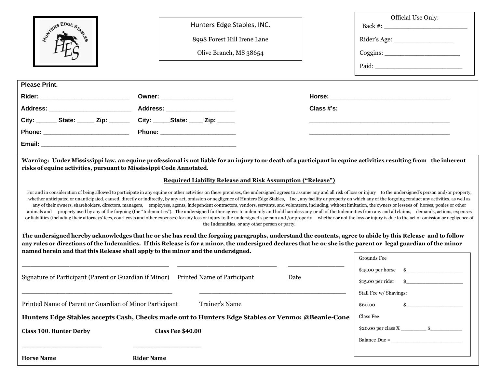| <b>HYTHERS EDGE ST</b>                                                                                                                                                                                                                                                                                                                                                                                                                                                                                                                                                                                                                                                                                                                                                                                                                                                                                                                                                                                                                                                                                                                                                                                                                                                                                                                                                                                                                    | Hunters Edge Stables, INC.<br>8998 Forest Hill Irene Lane<br>Olive Branch, MS 38654                                                                                                                                                                  |            | Official Use Only:                               |  |
|-------------------------------------------------------------------------------------------------------------------------------------------------------------------------------------------------------------------------------------------------------------------------------------------------------------------------------------------------------------------------------------------------------------------------------------------------------------------------------------------------------------------------------------------------------------------------------------------------------------------------------------------------------------------------------------------------------------------------------------------------------------------------------------------------------------------------------------------------------------------------------------------------------------------------------------------------------------------------------------------------------------------------------------------------------------------------------------------------------------------------------------------------------------------------------------------------------------------------------------------------------------------------------------------------------------------------------------------------------------------------------------------------------------------------------------------|------------------------------------------------------------------------------------------------------------------------------------------------------------------------------------------------------------------------------------------------------|------------|--------------------------------------------------|--|
| <b>Please Print.</b>                                                                                                                                                                                                                                                                                                                                                                                                                                                                                                                                                                                                                                                                                                                                                                                                                                                                                                                                                                                                                                                                                                                                                                                                                                                                                                                                                                                                                      |                                                                                                                                                                                                                                                      |            |                                                  |  |
|                                                                                                                                                                                                                                                                                                                                                                                                                                                                                                                                                                                                                                                                                                                                                                                                                                                                                                                                                                                                                                                                                                                                                                                                                                                                                                                                                                                                                                           | Owner: ________________________                                                                                                                                                                                                                      |            |                                                  |  |
| Address: ___________________________                                                                                                                                                                                                                                                                                                                                                                                                                                                                                                                                                                                                                                                                                                                                                                                                                                                                                                                                                                                                                                                                                                                                                                                                                                                                                                                                                                                                      | Address: ______________________                                                                                                                                                                                                                      | Class #'s: |                                                  |  |
| City: ________ State: ______ Zip: _________ City: ______ State: _____ Zip: ______                                                                                                                                                                                                                                                                                                                                                                                                                                                                                                                                                                                                                                                                                                                                                                                                                                                                                                                                                                                                                                                                                                                                                                                                                                                                                                                                                         |                                                                                                                                                                                                                                                      |            |                                                  |  |
|                                                                                                                                                                                                                                                                                                                                                                                                                                                                                                                                                                                                                                                                                                                                                                                                                                                                                                                                                                                                                                                                                                                                                                                                                                                                                                                                                                                                                                           |                                                                                                                                                                                                                                                      |            |                                                  |  |
|                                                                                                                                                                                                                                                                                                                                                                                                                                                                                                                                                                                                                                                                                                                                                                                                                                                                                                                                                                                                                                                                                                                                                                                                                                                                                                                                                                                                                                           |                                                                                                                                                                                                                                                      |            |                                                  |  |
| <b>Required Liability Release and Risk Assumption ("Release")</b><br>For and in consideration of being allowed to participate in any equine or other activities on these premises, the undersigned agrees to assume any and all risk of loss or injury to the undersigned's person and/or property,<br>whether anticipated or unanticipated, caused, directly or indirectly, by any act, omission or negligence of Hunters Edge Stables, Inc., any facility or property on which any of the forgoing conduct any activities, as well<br>any of their owners, shareholders, directors, managers, employees, agents, independent contractors, vendors, servants, and volunteers, including, without limitation, the owners or lessees of horses, ponies or other<br>animals and property used by any of the forgoing (the "Indemnities"). The undersigned further agrees to indemnify and hold harmless any or all of the Indemnities from any and all claims, demands, actions, expenses<br>or liabilities (including their attorneys' fees, court costs and other expenses) for any loss or injury to the undersigned's person and /or property whether or not the loss or injury is due to the act or omission or neglig<br>the Indemnities, or any other person or party.<br>The undersigned hereby acknowledges that he or she has read the forgoing paragraphs, understand the contents, agree to abide by this Release and to follow |                                                                                                                                                                                                                                                      |            |                                                  |  |
|                                                                                                                                                                                                                                                                                                                                                                                                                                                                                                                                                                                                                                                                                                                                                                                                                                                                                                                                                                                                                                                                                                                                                                                                                                                                                                                                                                                                                                           | any rules or directions of the Indemnities. If this Release is for a minor, the undersigned declares that he or she is the parent or legal guardian of the minor<br>named herein and that this Release shall apply to the minor and the undersigned. |            | Grounds Fee                                      |  |
| Signature of Participant (Parent or Guardian if Minor) Printed Name of Participant                                                                                                                                                                                                                                                                                                                                                                                                                                                                                                                                                                                                                                                                                                                                                                                                                                                                                                                                                                                                                                                                                                                                                                                                                                                                                                                                                        |                                                                                                                                                                                                                                                      | Date       | $$15.00$ per horse $$$<br>Stall Fee w/ Shavings: |  |
| Printed Name of Parent or Guardian of Minor Participant<br>Trainer's Name                                                                                                                                                                                                                                                                                                                                                                                                                                                                                                                                                                                                                                                                                                                                                                                                                                                                                                                                                                                                                                                                                                                                                                                                                                                                                                                                                                 |                                                                                                                                                                                                                                                      |            | \$60.00                                          |  |
| Hunters Edge Stables accepts Cash, Checks made out to Hunters Edge Stables or Venmo: @Beanie-Cone                                                                                                                                                                                                                                                                                                                                                                                                                                                                                                                                                                                                                                                                                                                                                                                                                                                                                                                                                                                                                                                                                                                                                                                                                                                                                                                                         |                                                                                                                                                                                                                                                      |            | Class Fee                                        |  |
| <b>Class 100. Hunter Derby</b>                                                                                                                                                                                                                                                                                                                                                                                                                                                                                                                                                                                                                                                                                                                                                                                                                                                                                                                                                                                                                                                                                                                                                                                                                                                                                                                                                                                                            | Class Fee \$40.00                                                                                                                                                                                                                                    |            | $Balance Due = \n$                               |  |
| <b>Horse Name</b>                                                                                                                                                                                                                                                                                                                                                                                                                                                                                                                                                                                                                                                                                                                                                                                                                                                                                                                                                                                                                                                                                                                                                                                                                                                                                                                                                                                                                         | <b>Rider Name</b>                                                                                                                                                                                                                                    |            |                                                  |  |